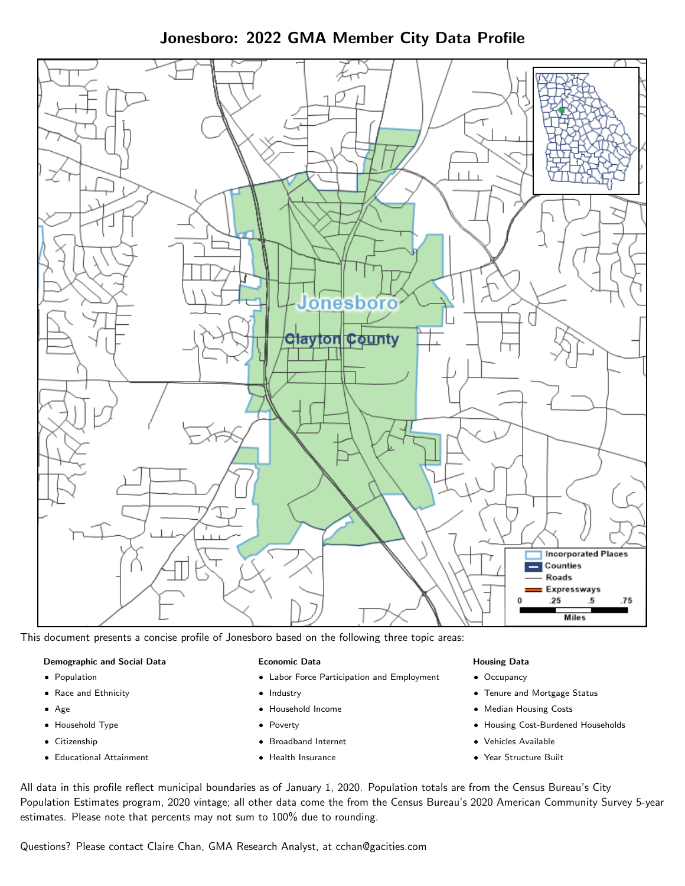# Jonesboro: 2022 GMA Member City Data Profile



This document presents a concise profile of Jonesboro based on the following three topic areas:

### Demographic and Social Data

- **•** Population
- Race and Ethnicity
- Age
- Household Type
- **Citizenship**
- Educational Attainment

### Economic Data

- Labor Force Participation and Employment
- Industry
- Household Income
- Poverty
- Broadband Internet
- Health Insurance

### Housing Data

- Occupancy
- Tenure and Mortgage Status
- Median Housing Costs
- Housing Cost-Burdened Households
- Vehicles Available
- Year Structure Built

All data in this profile reflect municipal boundaries as of January 1, 2020. Population totals are from the Census Bureau's City Population Estimates program, 2020 vintage; all other data come the from the Census Bureau's 2020 American Community Survey 5-year estimates. Please note that percents may not sum to 100% due to rounding.

Questions? Please contact Claire Chan, GMA Research Analyst, at [cchan@gacities.com.](mailto:cchan@gacities.com)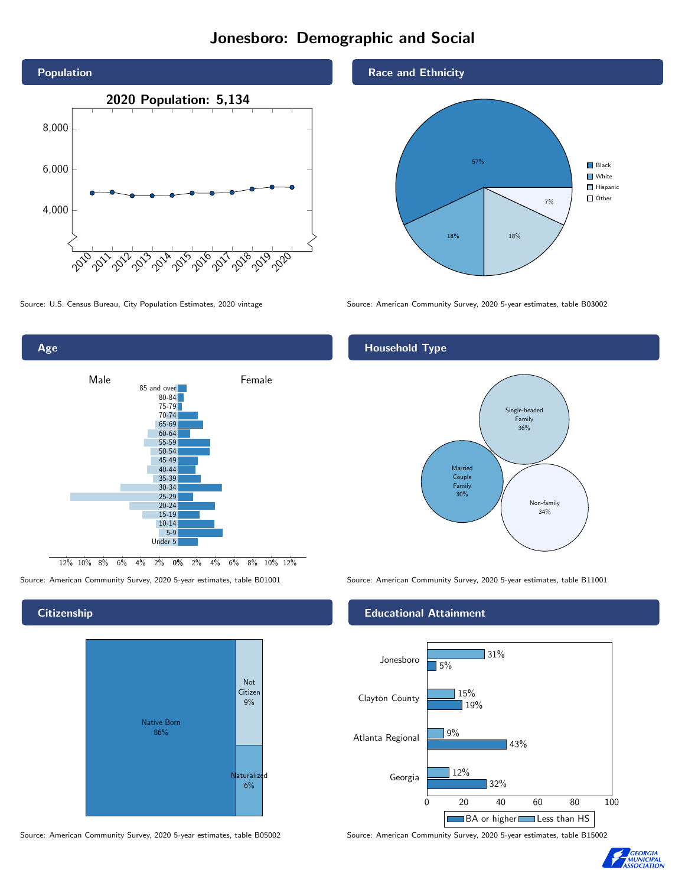# Jonesboro: Demographic and Social





## **Citizenship**



Source: American Community Survey, 2020 5-year estimates, table B05002 Source: American Community Survey, 2020 5-year estimates, table B15002

## Race and Ethnicity



Source: U.S. Census Bureau, City Population Estimates, 2020 vintage Source: American Community Survey, 2020 5-year estimates, table B03002

## Household Type



Source: American Community Survey, 2020 5-year estimates, table B01001 Source: American Community Survey, 2020 5-year estimates, table B11001

## Educational Attainment



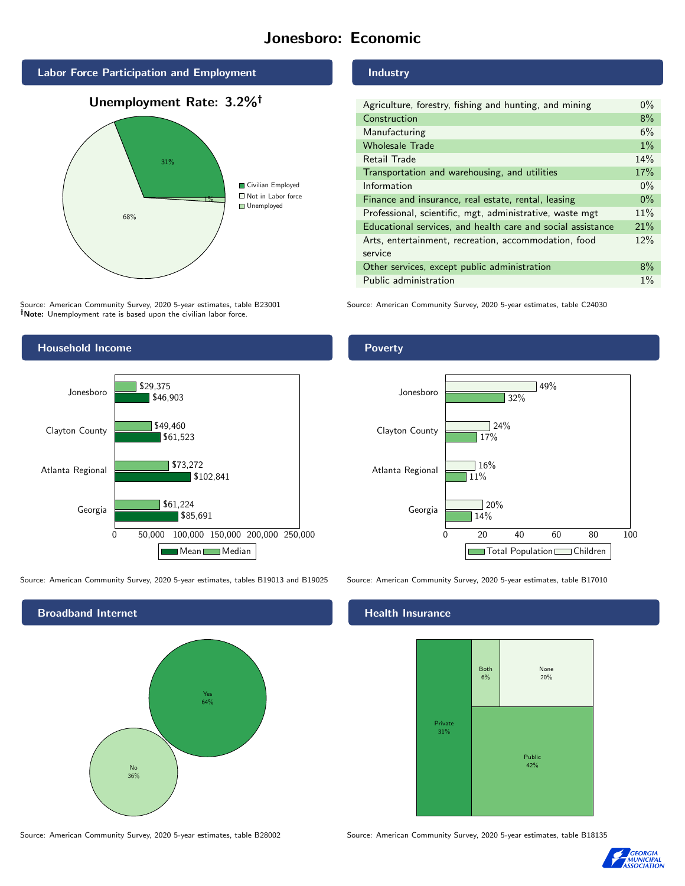## Jonesboro: Economic

Industry



Unemployment Rate: 3.2%



Source: American Community Survey, 2020 5-year estimates, table B23001 Note: Unemployment rate is based upon the civilian labor force.

Household Income

## Transportation and warehousing, and utilities 17% Information  $0\%$ Finance and insurance, real estate, rental, leasing  $0\%$ Professional, scientific, mgt, administrative, waste mgt 11% Educational services, and health care and social assistance 21% Arts, entertainment, recreation, accommodation, food

Poverty

service



Source: American Community Survey, 2020 5-year estimates, tables B19013 and B19025 Source: American Community Survey, 2020 5-year estimates, table B17010



0 20 40 60 80 100 Georgia 14% 11%  $120%$ Total Population Children

32%

49%

Agriculture, forestry, fishing and hunting, and mining 0% Construction 8% Manufacturing 6% Wholesale Trade 1% and 1% and 1% and 1% and 1% and 1% and 1% and 1% and 1% and 1% and 1% and 1% and 1% and 1% Retail Trade 14%

Other services, except public administration 8% Public administration 1%

Source: American Community Survey, 2020 5-year estimates, table C24030

17%

 $724%$ 

 $16%$ 

### Health Insurance

Atlanta Regional

Clayton County

Jonesboro



Source: American Community Survey, 2020 5-year estimates, table B28002 Source: American Community Survey, 2020 5-year estimates, table B18135



12%